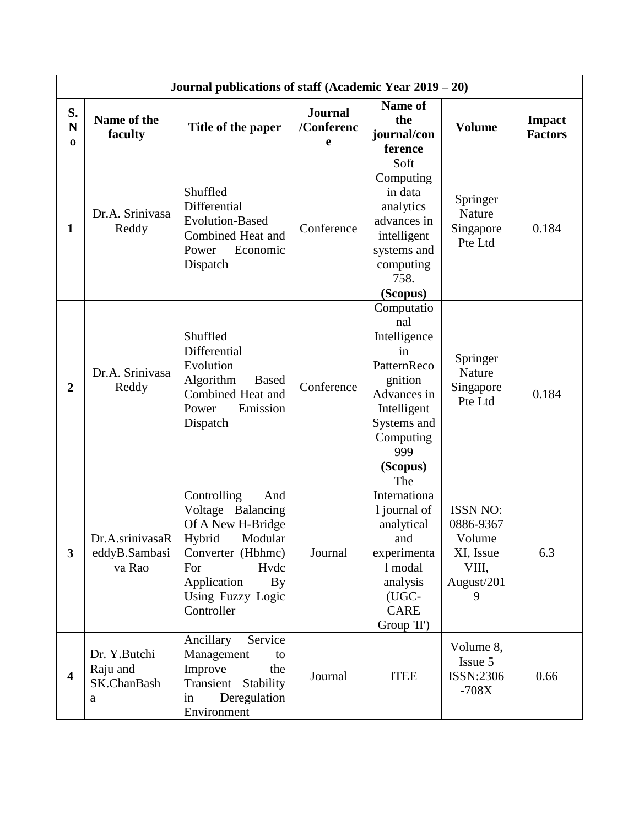|                               | Journal publications of staff (Academic Year 2019 - 20) |                                                                                                                                                                               |                                   |                                                                                                                                                |                                                                                 |                                 |  |
|-------------------------------|---------------------------------------------------------|-------------------------------------------------------------------------------------------------------------------------------------------------------------------------------|-----------------------------------|------------------------------------------------------------------------------------------------------------------------------------------------|---------------------------------------------------------------------------------|---------------------------------|--|
| S.<br>$\mathbf N$<br>$\bf{0}$ | Name of the<br>faculty                                  | Title of the paper                                                                                                                                                            | <b>Journal</b><br>/Conferenc<br>e | <b>Name of</b><br>the<br>journal/con<br>ference                                                                                                | <b>Volume</b>                                                                   | <b>Impact</b><br><b>Factors</b> |  |
| $\mathbf{1}$                  | Dr.A. Srinivasa<br>Reddy                                | Shuffled<br>Differential<br><b>Evolution-Based</b><br>Combined Heat and<br>Power<br>Economic<br>Dispatch                                                                      | Conference                        | Soft<br>Computing<br>in data<br>analytics<br>advances in<br>intelligent<br>systems and<br>computing<br>758.<br>(Scopus)                        | Springer<br>Nature<br>Singapore<br>Pte Ltd                                      | 0.184                           |  |
| $\overline{2}$                | Dr.A. Srinivasa<br>Reddy                                | Shuffled<br>Differential<br>Evolution<br>Algorithm<br><b>Based</b><br>Combined Heat and<br>Power<br>Emission<br>Dispatch                                                      | Conference                        | Computatio<br>nal<br>Intelligence<br>in<br>PatternReco<br>gnition<br>Advances in<br>Intelligent<br>Systems and<br>Computing<br>999<br>(Scopus) | Springer<br>Nature<br>Singapore<br>Pte Ltd                                      | 0.184                           |  |
| $\overline{\mathbf{3}}$       | Dr.A.srinivasaR<br>eddyB.Sambasi<br>va Rao              | Controlling<br>And<br>Voltage Balancing<br>Of A New H-Bridge<br>Hybrid<br>Modular<br>Converter (Hbhmc)<br>Hvdc<br>For<br>Application<br>By<br>Using Fuzzy Logic<br>Controller | Journal                           | The<br>Internationa<br>1 journal of<br>analytical<br>and<br>experimenta<br>1 modal<br>analysis<br>(UGC-<br><b>CARE</b><br>Group 'II')          | <b>ISSN NO:</b><br>0886-9367<br>Volume<br>XI, Issue<br>VIII,<br>August/201<br>9 | 6.3                             |  |
| $\overline{\mathbf{4}}$       | Dr. Y.Butchi<br>Raju and<br>SK.ChanBash<br>a            | Ancillary<br>Service<br>Management<br>to<br>Improve<br>the<br>Transient<br>Stability<br>in<br>Deregulation<br>Environment                                                     | Journal                           | <b>ITEE</b>                                                                                                                                    | Volume 8,<br>Issue 5<br>ISSN:2306<br>$-708X$                                    | 0.66                            |  |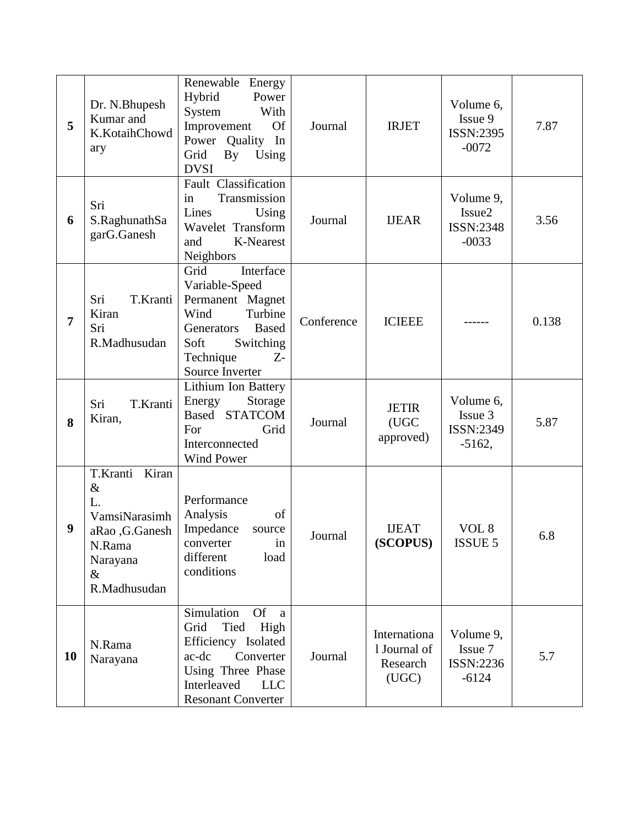| 5         | Dr. N.Bhupesh<br>Kumar and<br>K.KotaihChowd<br>ary                                                               | Renewable Energy<br>Hybrid<br>Power<br>System<br>With<br>Improvement<br><b>Of</b><br>Power<br>Quality<br>In<br>Grid<br>By<br>Using<br><b>DVSI</b>                                | Journal    | <b>IRJET</b>                                      | Volume 6,<br>Issue 9<br>ISSN:2395<br>$-0072$            | 7.87  |
|-----------|------------------------------------------------------------------------------------------------------------------|----------------------------------------------------------------------------------------------------------------------------------------------------------------------------------|------------|---------------------------------------------------|---------------------------------------------------------|-------|
| 6         | Sri<br>S.RaghunathSa<br>garG.Ganesh                                                                              | Fault Classification<br>Transmission<br>in<br>Lines<br>Using<br>Wavelet Transform<br>K-Nearest<br>and<br>Neighbors                                                               | Journal    | <b>IJEAR</b>                                      | Volume 9,<br>Issue <sub>2</sub><br>ISSN:2348<br>$-0033$ | 3.56  |
| 7         | Sri<br>T.Kranti<br>Kiran<br>Sri<br>R.Madhusudan                                                                  | Interface<br>Grid<br>Variable-Speed<br>Permanent Magnet<br>Turbine<br>Wind<br><b>Based</b><br>Generators<br>Soft<br>Switching<br>Technique<br>$Z-$<br>Source Inverter            | Conference | <b>ICIEEE</b>                                     |                                                         | 0.138 |
| 8         | Sri<br>T.Kranti<br>Kiran,                                                                                        | Lithium Ion Battery<br>Energy<br>Storage<br>Based STATCOM<br>Grid<br>For<br>Interconnected<br><b>Wind Power</b>                                                                  | Journal    | <b>JETIR</b><br>(UGC<br>approved)                 | Volume 6,<br>Issue 3<br>ISSN:2349<br>$-5162,$           | 5.87  |
| 9         | Kiran<br>T.Kranti<br>$\&$<br>L.<br>VamsiNarasimh<br>aRao ,G.Ganesh<br>N.Rama<br>Narayana<br>$\&$<br>R.Madhusudan | Performance<br>Analysis<br>of<br>Impedance<br>source<br>converter<br>1n<br>different<br>load<br>conditions                                                                       | Journal    | <b>IJEAT</b><br>(SCOPUS)                          | VOL <sub>8</sub><br><b>ISSUE 5</b>                      | 6.8   |
| <b>10</b> | N.Rama<br>Narayana                                                                                               | <b>Of</b><br>Simulation<br>a<br>Tied<br>High<br>Grid<br>Efficiency Isolated<br>Converter<br>ac-dc<br>Using Three Phase<br>Interleaved<br><b>LLC</b><br><b>Resonant Converter</b> | Journal    | Internationa<br>1 Journal of<br>Research<br>(UGC) | Volume 9,<br>Issue 7<br>ISSN:2236<br>$-6124$            | 5.7   |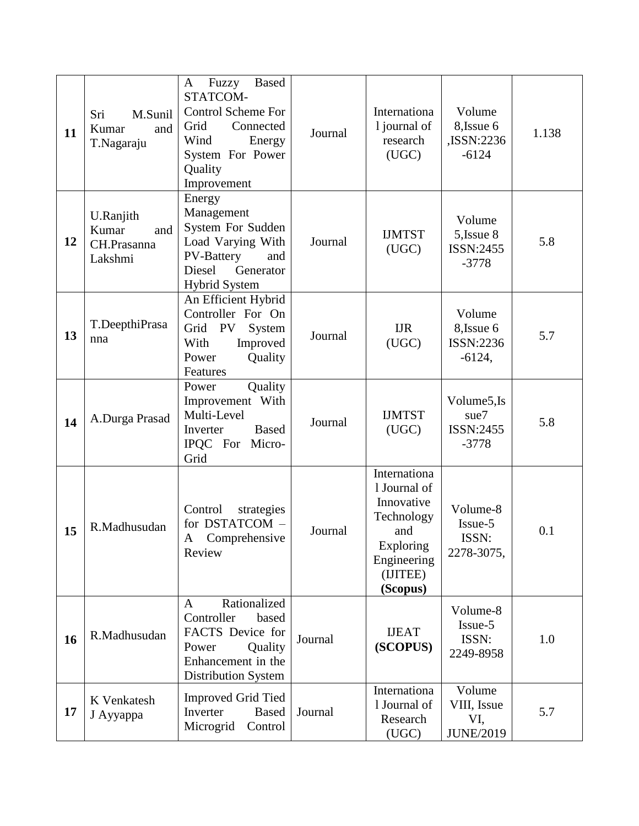| 11 | Sri<br>M.Sunil<br>Kumar<br>and<br>T.Nagaraju        | <b>Based</b><br>Fuzzy<br>A<br>STATCOM-<br><b>Control Scheme For</b><br>Grid<br>Connected<br>Wind<br>Energy<br>System For Power<br>Quality<br>Improvement | Journal | Internationa<br>1 journal of<br>research<br>(UGC)                                                                   | Volume<br>8, Issue 6<br>,ISSN:2236<br>$-6124$          | 1.138 |
|----|-----------------------------------------------------|----------------------------------------------------------------------------------------------------------------------------------------------------------|---------|---------------------------------------------------------------------------------------------------------------------|--------------------------------------------------------|-------|
| 12 | U.Ranjith<br>Kumar<br>and<br>CH.Prasanna<br>Lakshmi | Energy<br>Management<br>System For Sudden<br>Load Varying With<br><b>PV-Battery</b><br>and<br>Diesel<br>Generator<br><b>Hybrid System</b>                | Journal | <b>IJMTST</b><br>(UGC)                                                                                              | Volume<br>5, Issue 8<br>ISSN:2455<br>$-3778$           | 5.8   |
| 13 | T.DeepthiPrasa<br>nna                               | An Efficient Hybrid<br>Controller For On<br>Grid<br><b>PV</b><br>System<br>With<br>Improved<br>Quality<br>Power<br>Features                              | Journal | <b>IJR</b><br>(UGC)                                                                                                 | Volume<br>8, Issue 6<br>ISSN:2236<br>$-6124,$          | 5.7   |
| 14 | A.Durga Prasad                                      | Quality<br>Power<br>Improvement With<br>Multi-Level<br>Inverter<br><b>Based</b><br>IPQC For Micro-<br>Grid                                               | Journal | <b>IJMTST</b><br>(UGC)                                                                                              | Volume <sub>5,Is</sub><br>sue7<br>ISSN:2455<br>$-3778$ | 5.8   |
| 15 | R.Madhusudan                                        | Control<br>strategies<br>for DSTATCOM -<br>A Comprehensive<br>Review                                                                                     | Journal | Internationa<br>1 Journal of<br>Innovative<br>Technology<br>and<br>Exploring<br>Engineering<br>(IJITEE)<br>(Scopus) | Volume-8<br>Issue-5<br>ISSN:<br>2278-3075,             | 0.1   |
| 16 | R.Madhusudan                                        | Rationalized<br>A<br>Controller<br>based<br>FACTS Device for<br>Power<br>Quality<br>Enhancement in the<br>Distribution System                            | Journal | <b>IJEAT</b><br>(SCOPUS)                                                                                            | Volume-8<br>Issue-5<br>ISSN:<br>2249-8958              | 1.0   |
| 17 | K Venkatesh<br>J Ayyappa                            | <b>Improved Grid Tied</b><br>Inverter<br><b>Based</b><br>Microgrid<br>Control                                                                            | Journal | Internationa<br>1 Journal of<br>Research<br>(UGC)                                                                   | Volume<br>VIII, Issue<br>VI,<br><b>JUNE/2019</b>       | 5.7   |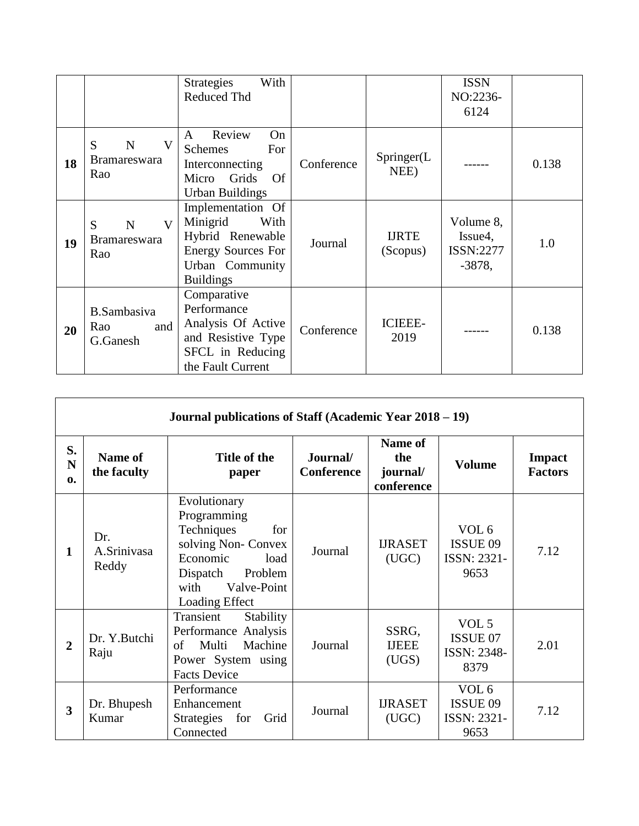|    |                                                                | <b>Strategies</b><br>With<br><b>Reduced Thd</b>                                                                               |            |                          | <b>ISSN</b><br>NO:2236-<br>6124                            |       |
|----|----------------------------------------------------------------|-------------------------------------------------------------------------------------------------------------------------------|------------|--------------------------|------------------------------------------------------------|-------|
| 18 | V<br>S<br>$\mathbf N$<br><b>Bramareswara</b><br>Rao            | Review<br>On<br>A<br>For<br><b>Schemes</b><br>Interconnecting<br>Micro Grids<br><b>Of</b><br>Urban Buildings                  | Conference | Springer(L)<br>NEE)      |                                                            | 0.138 |
| 19 | $\mathbf{V}$<br>S<br>$\mathbf N$<br><b>Bramareswara</b><br>Rao | Implementation Of<br>With<br>Minigrid<br>Hybrid Renewable<br><b>Energy Sources For</b><br>Urban Community<br><b>Buildings</b> | Journal    | <b>IJRTE</b><br>(Scopus) | Volume 8,<br>Issue <sub>4</sub> ,<br>ISSN:2277<br>$-3878,$ | 1.0   |
| 20 | <b>B.Sambasiva</b><br>Rao<br>and<br>G.Ganesh                   | Comparative<br>Performance<br>Analysis Of Active<br>and Resistive Type<br>SFCL in Reducing<br>the Fault Current               | Conference | <b>ICIEEE-</b><br>2019   |                                                            | 0.138 |

|                         |                             | Journal publications of Staff (Academic Year 2018 – 19)                                                                                                     |                               |                                          |                                                            |                          |
|-------------------------|-----------------------------|-------------------------------------------------------------------------------------------------------------------------------------------------------------|-------------------------------|------------------------------------------|------------------------------------------------------------|--------------------------|
| S.<br>N<br>$\mathbf{0}$ | Name of<br>the faculty      | Title of the<br>paper                                                                                                                                       | Journal/<br><b>Conference</b> | Name of<br>the<br>journal/<br>conference | <b>Volume</b>                                              | Impact<br><b>Factors</b> |
| 1                       | Dr.<br>A.Srinivasa<br>Reddy | Evolutionary<br>Programming<br>Techniques<br>for<br>solving Non- Convex<br>Economic<br>load<br>Problem<br>Dispatch<br>Valve-Point<br>with<br>Loading Effect | Journal                       | <b>IJRASET</b><br>(UGC)                  | VOL <sub>6</sub><br><b>ISSUE 09</b><br>ISSN: 2321-<br>9653 | 7.12                     |
| $\overline{2}$          | Dr. Y.Butchi<br>Raju        | Transient<br>Stability<br>Performance Analysis<br>Multi<br>Machine<br>of<br>Power System using<br><b>Facts Device</b>                                       | Journal                       | SSRG,<br><b>IJEEE</b><br>(UGS)           | VOL <sub>5</sub><br>ISSUE 07<br>ISSN: 2348-<br>8379        | 2.01                     |
| 3                       | Dr. Bhupesh<br>Kumar        | Performance<br>Enhancement<br><b>Strategies</b><br>for<br>Grid<br>Connected                                                                                 | Journal                       | <b>IJRASET</b><br>(UGC)                  | VOL <sub>6</sub><br><b>ISSUE 09</b><br>ISSN: 2321-<br>9653 | 7.12                     |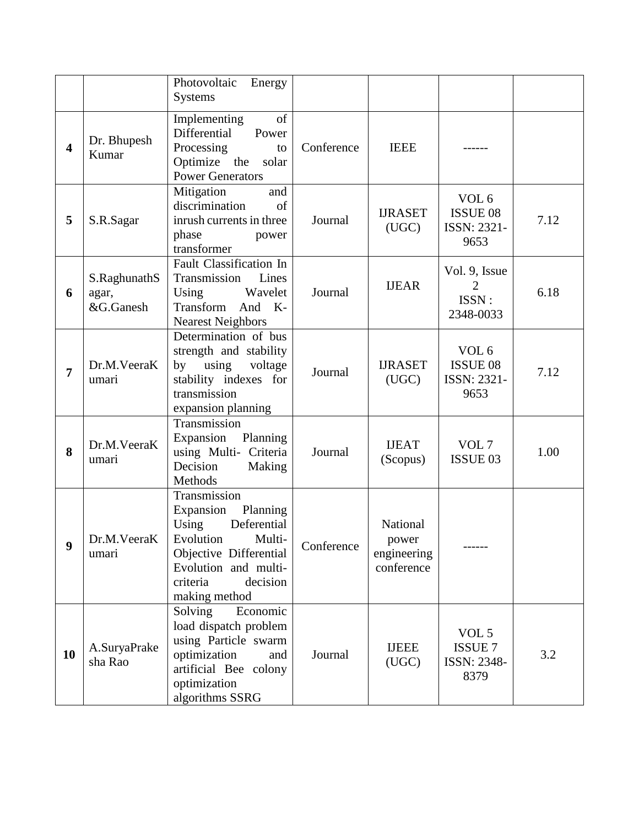|                         |                                    | Photovoltaic<br>Energy<br><b>Systems</b>                                                                                                                                        |            |                                                |                                                            |      |
|-------------------------|------------------------------------|---------------------------------------------------------------------------------------------------------------------------------------------------------------------------------|------------|------------------------------------------------|------------------------------------------------------------|------|
| $\overline{\mathbf{4}}$ | Dr. Bhupesh<br>Kumar               | Implementing<br>of<br>Differential<br>Power<br>Processing<br>to<br>Optimize the<br>solar<br><b>Power Generators</b>                                                             | Conference | <b>IEEE</b>                                    |                                                            |      |
| 5                       | S.R.Sagar                          | Mitigation<br>and<br>discrimination<br>of<br>inrush currents in three<br>phase<br>power<br>transformer                                                                          | Journal    | <b>IJRASET</b><br>(UGC)                        | VOL <sub>6</sub><br><b>ISSUE 08</b><br>ISSN: 2321-<br>9653 | 7.12 |
| 6                       | S.RaghunathS<br>agar,<br>&G.Ganesh | <b>Fault Classification In</b><br>Transmission<br>Lines<br>Wavelet<br>Using<br>Transform<br>And K-<br><b>Nearest Neighbors</b>                                                  | Journal    | <b>IJEAR</b>                                   | Vol. 9, Issue<br>ISSN:<br>2348-0033                        | 6.18 |
| $\overline{7}$          | Dr.M.VeeraK<br>umari               | Determination of bus<br>strength and stability<br>by using<br>voltage<br>stability indexes for<br>transmission<br>expansion planning                                            | Journal    | <b>IJRASET</b><br>(UGC)                        | VOL <sub>6</sub><br><b>ISSUE 08</b><br>ISSN: 2321-<br>9653 | 7.12 |
| 8                       | Dr.M.VeeraK<br>umari               | Transmission<br>Expansion<br>Planning<br>using Multi- Criteria<br>Decision<br>Making<br>Methods                                                                                 | Journal    | <b>IJEAT</b><br>(Scopus)                       | VOL <sub>7</sub><br>ISSUE 03                               | 1.00 |
| 9                       | Dr.M.VeeraK<br>umari               | Transmission<br>Planning<br>Expansion<br>Using<br>Deferential<br>Evolution<br>Multi-<br>Objective Differential<br>Evolution and multi-<br>criteria<br>decision<br>making method | Conference | National<br>power<br>engineering<br>conference |                                                            |      |
| 10                      | A.SuryaPrake<br>sha Rao            | Economic<br>Solving<br>load dispatch problem<br>using Particle swarm<br>optimization<br>and<br>artificial Bee colony<br>optimization<br>algorithms SSRG                         | Journal    | <b>IJEEE</b><br>(UGC)                          | VOL 5<br><b>ISSUE 7</b><br>ISSN: 2348-<br>8379             | 3.2  |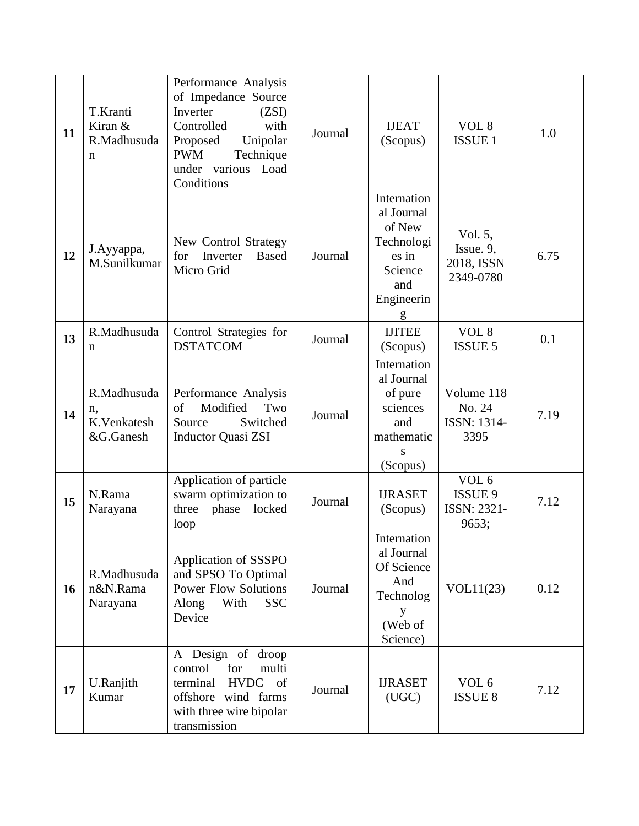| 11 | T.Kranti<br>Kiran &<br>R.Madhusuda<br>$\mathbf n$ | Performance Analysis<br>of Impedance Source<br>Inverter<br>(ZSI)<br>Controlled<br>with<br>Unipolar<br>Proposed<br><b>PWM</b><br>Technique<br>under various Load<br>Conditions | Journal | <b>IJEAT</b><br>(Scopus)                                                                        | VOL 8<br><b>ISSUE 1</b>                             | 1.0  |
|----|---------------------------------------------------|-------------------------------------------------------------------------------------------------------------------------------------------------------------------------------|---------|-------------------------------------------------------------------------------------------------|-----------------------------------------------------|------|
| 12 | J.Ayyappa,<br>M.Sunilkumar                        | New Control Strategy<br>Inverter<br>for<br><b>Based</b><br>Micro Grid                                                                                                         | Journal | Internation<br>al Journal<br>of New<br>Technologi<br>es in<br>Science<br>and<br>Engineerin<br>g | Vol. 5,<br>Issue. 9,<br>2018, ISSN<br>2349-0780     | 6.75 |
| 13 | R.Madhusuda<br>n                                  | Control Strategies for<br><b>DSTATCOM</b>                                                                                                                                     | Journal | <b>IJITEE</b><br>(Scopus)                                                                       | VOL 8<br><b>ISSUE 5</b>                             | 0.1  |
| 14 | R.Madhusuda<br>n,<br>K.Venkatesh<br>&G.Ganesh     | Performance Analysis<br>of<br>Modified<br>Two<br>Source<br>Switched<br><b>Inductor Quasi ZSI</b>                                                                              | Journal | Internation<br>al Journal<br>of pure<br>sciences<br>and<br>mathematic<br>S<br>(Scopus)          | Volume 118<br>No. 24<br>ISSN: 1314-<br>3395         | 7.19 |
| 15 | N.Rama<br>Narayana                                | Application of particle<br>swarm optimization to<br>three<br>phase<br>locked<br>loop                                                                                          | Journal | <b>IJRASET</b><br>(Scopus)                                                                      | VOL <sub>6</sub><br>ISSUE 9<br>ISSN: 2321-<br>9653; | 7.12 |
| 16 | R.Madhusuda<br>n&N.Rama<br>Narayana               | Application of SSSPO<br>and SPSO To Optimal<br><b>Power Flow Solutions</b><br><b>SSC</b><br>Along<br>With<br>Device                                                           | Journal | Internation<br>al Journal<br>Of Science<br>And<br>Technolog<br>У<br>(Web of<br>Science)         | VOL11(23)                                           | 0.12 |
| 17 | U.Ranjith<br>Kumar                                | Design of droop<br>A<br>multi<br>control<br>for<br><b>HVDC</b><br>of<br>terminal<br>offshore wind farms<br>with three wire bipolar<br>transmission                            | Journal | <b>IJRASET</b><br>(UGC)                                                                         | VOL <sub>6</sub><br><b>ISSUE 8</b>                  | 7.12 |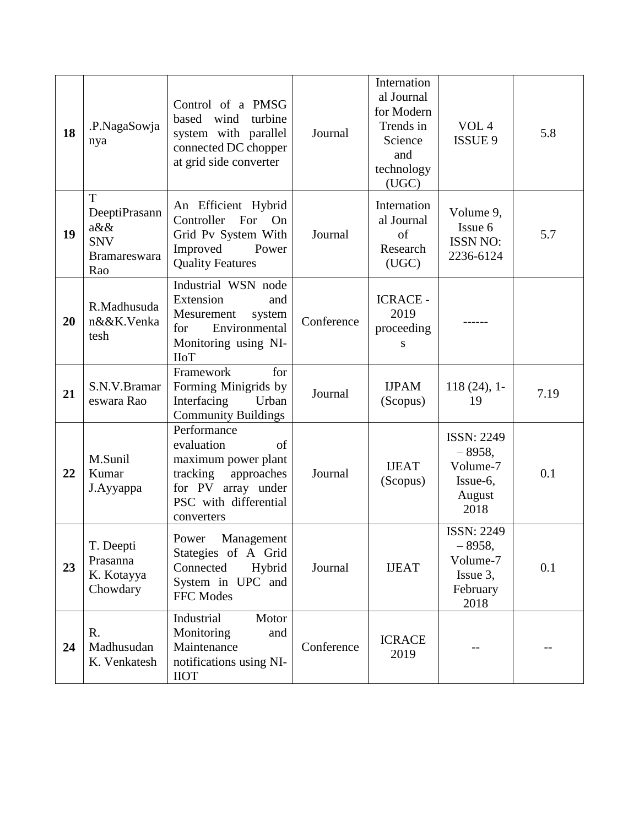| 18 | .P.NagaSowja<br>nya                                                | Control of a PMSG<br>based<br>wind<br>turbine<br>system with parallel<br>connected DC chopper<br>at grid side converter                       | Journal    | Internation<br>al Journal<br>for Modern<br>Trends in<br>Science<br>and<br>technology<br>(UGC) | VOL <sub>4</sub><br>ISSUE 9                                               | 5.8  |
|----|--------------------------------------------------------------------|-----------------------------------------------------------------------------------------------------------------------------------------------|------------|-----------------------------------------------------------------------------------------------|---------------------------------------------------------------------------|------|
| 19 | T<br>DeeptiPrasann<br>$a\&\&$<br><b>SNV</b><br>Bramareswara<br>Rao | An Efficient Hybrid<br>Controller For<br>On<br>Grid Pv System With<br>Improved<br>Power<br><b>Quality Features</b>                            | Journal    | Internation<br>al Journal<br>of<br>Research<br>(UGC)                                          | Volume 9,<br>Issue 6<br><b>ISSN NO:</b><br>2236-6124                      | 5.7  |
| 20 | R.Madhusuda<br>n&&K.Venka<br>tesh                                  | Industrial WSN node<br>Extension<br>and<br>Mesurement<br>system<br>Environmental<br>for<br>Monitoring using NI-<br><b>IIoT</b>                | Conference | <b>ICRACE -</b><br>2019<br>proceeding<br>S                                                    |                                                                           |      |
| 21 | S.N.V.Bramar<br>eswara Rao                                         | for<br>Framework<br>Forming Minigrids by<br>Interfacing<br>Urban<br><b>Community Buildings</b>                                                | Journal    | <b>IJPAM</b><br>(Scopus)                                                                      | $118(24)$ , 1-<br>19                                                      | 7.19 |
| 22 | M.Sunil<br>Kumar<br>J.Ayyappa                                      | Performance<br>evaluation<br>of<br>maximum power plant<br>tracking<br>approaches<br>for PV array under<br>PSC with differential<br>converters | Journal    | <b>IJEAT</b><br>(Scopus)                                                                      | <b>ISSN: 2249</b><br>$-8958,$<br>Volume-7<br>Issue-6,<br>August<br>2018   | 0.1  |
| 23 | T. Deepti<br>Prasanna<br>K. Kotayya<br>Chowdary                    | Power Management<br>Stategies of A Grid<br>Connected<br>Hybrid<br>System in UPC and<br>FFC Modes                                              | Journal    | <b>IJEAT</b>                                                                                  | <b>ISSN: 2249</b><br>$-8958,$<br>Volume-7<br>Issue 3,<br>February<br>2018 | 0.1  |
| 24 | R.<br>Madhusudan<br>K. Venkatesh                                   | Industrial<br>Motor<br>Monitoring<br>and<br>Maintenance<br>notifications using NI-<br><b>IIOT</b>                                             | Conference | <b>ICRACE</b><br>2019                                                                         |                                                                           |      |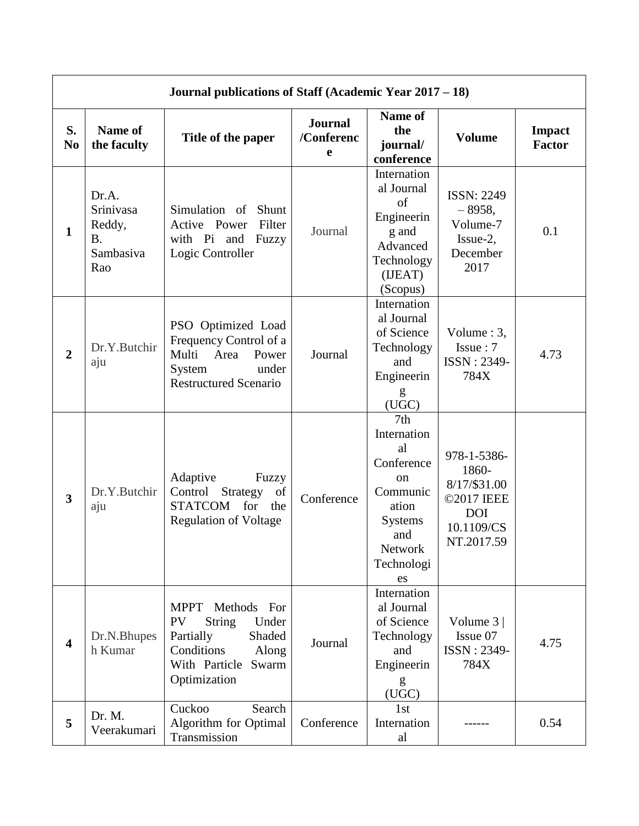|                         | Journal publications of Staff (Academic Year $2017 - 18$ ) |                                                                                                                                                           |                                   |                                                                                                                                                  |                                                                                              |                                |  |
|-------------------------|------------------------------------------------------------|-----------------------------------------------------------------------------------------------------------------------------------------------------------|-----------------------------------|--------------------------------------------------------------------------------------------------------------------------------------------------|----------------------------------------------------------------------------------------------|--------------------------------|--|
| S.<br>N <sub>0</sub>    | Name of<br>the faculty                                     | Title of the paper                                                                                                                                        | <b>Journal</b><br>/Conferenc<br>e | Name of<br>the<br>journal/<br>conference                                                                                                         | <b>Volume</b>                                                                                | <b>Impact</b><br><b>Factor</b> |  |
| $\mathbf{1}$            | Dr.A.<br>Srinivasa<br>Reddy,<br>B.<br>Sambasiva<br>Rao     | Simulation of Shunt<br>Active Power<br>Filter<br>with Pi and<br>Fuzzy<br>Logic Controller                                                                 | Journal                           | Internation<br>al Journal<br>of<br>Engineerin<br>g and<br>Advanced<br>Technology<br>(IJEAT)<br>(Scopus)                                          | <b>ISSN: 2249</b><br>$-8958,$<br>Volume-7<br>Issue-2,<br>December<br>2017                    | 0.1                            |  |
| $\overline{2}$          | Dr.Y.Butchir<br>aju                                        | PSO Optimized Load<br>Frequency Control of a<br>Multi<br>Area<br>Power<br>under<br>System<br><b>Restructured Scenario</b>                                 | Journal                           | Internation<br>al Journal<br>of Science<br>Technology<br>and<br>Engineerin<br>g<br>(UGC)                                                         | Volume $: 3,$<br>Issue: 7<br>ISSN: 2349-<br>784X                                             | 4.73                           |  |
| $\overline{\mathbf{3}}$ | Dr.Y.Butchir<br>aju                                        | Adaptive<br>Fuzzy<br>Control<br>Strategy<br>of<br><b>STATCOM</b><br>for<br>the<br><b>Regulation of Voltage</b>                                            | Conference                        | 7 <sub>th</sub><br>Internation<br>al<br>Conference<br><sub>on</sub><br>Communic<br>ation<br><b>Systems</b><br>and<br>Network<br>Technologi<br>es | 978-1-5386-<br>1860-<br>8/17/\$31.00<br>©2017 IEEE<br><b>DOI</b><br>10.1109/CS<br>NT.2017.59 |                                |  |
| $\overline{\mathbf{4}}$ | Dr.N.Bhupes<br>h Kumar                                     | <b>MPPT</b><br>Methods For<br><b>PV</b><br><b>String</b><br>Under<br>Partially<br>Shaded<br>Conditions<br>Along<br>With Particle<br>Swarm<br>Optimization | Journal                           | Internation<br>al Journal<br>of Science<br>Technology<br>and<br>Engineerin<br>(UGC)                                                              | Volume $3 \mid$<br>Issue 07<br>ISSN: 2349-<br>784X                                           | 4.75                           |  |
| 5                       | Dr. M.<br>Veerakumari                                      | Cuckoo<br>Search<br>Algorithm for Optimal<br>Transmission                                                                                                 | Conference                        | 1st<br>Internation<br>al                                                                                                                         |                                                                                              | 0.54                           |  |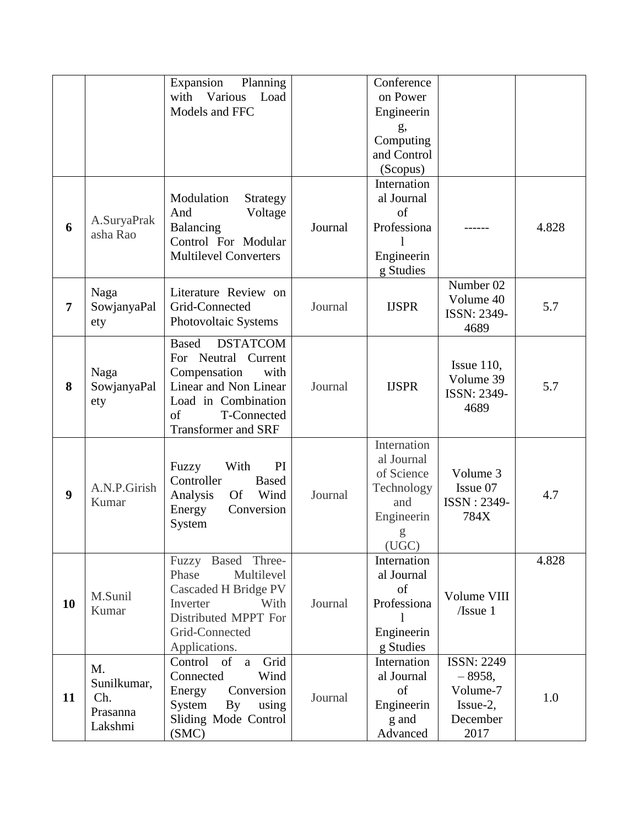|    |                                                 | Expansion<br>Planning<br>with Various<br>Load<br>Models and FFC                                                                                                                      |         | Conference<br>on Power<br>Engineerin<br>g,<br>Computing<br>and Control<br>(Scopus)       |                                                                              |       |
|----|-------------------------------------------------|--------------------------------------------------------------------------------------------------------------------------------------------------------------------------------------|---------|------------------------------------------------------------------------------------------|------------------------------------------------------------------------------|-------|
| 6  | A.SuryaPrak<br>asha Rao                         | Modulation<br>Strategy<br>Voltage<br>And<br>Balancing<br>Control For Modular<br><b>Multilevel Converters</b>                                                                         | Journal | Internation<br>al Journal<br>of<br>Professiona<br>Engineerin<br>g Studies                |                                                                              | 4.828 |
| 7  | Naga<br>SowjanyaPal<br>ety                      | Literature Review on<br>Grid-Connected<br>Photovoltaic Systems                                                                                                                       | Journal | <b>IJSPR</b>                                                                             | Number 02<br>Volume 40<br><b>ISSN: 2349-</b><br>4689                         | 5.7   |
| 8  | Naga<br>SowjanyaPal<br>ety                      | <b>Based</b><br><b>DSTATCOM</b><br>For Neutral<br>Current<br>Compensation<br>with<br>Linear and Non Linear<br>Load in Combination<br>of<br>T-Connected<br><b>Transformer and SRF</b> | Journal | <b>IJSPR</b>                                                                             | Issue $110$ ,<br>Volume 39<br><b>ISSN: 2349-</b><br>4689                     | 5.7   |
| 9  | A.N.P.Girish<br>Kumar                           | PI<br>Fuzzy<br>With<br>Controller<br><b>Based</b><br>Wind<br>Analysis<br><b>Of</b><br>Energy<br>Conversion<br>System                                                                 | Journal | Internation<br>al Journal<br>of Science<br>Technology<br>and<br>Engineerin<br>g<br>(UGC) | Volume 3<br>Issue 07<br>ISSN: 2349-<br>784X                                  | 4.7   |
| 10 | M.Sunil<br>Kumar                                | Fuzzy Based Three-<br>Multilevel<br>Phase<br>Cascaded H Bridge PV<br>With<br>Inverter<br>Distributed MPPT For<br>Grid-Connected<br>Applications.                                     | Journal | Internation<br>al Journal<br>of<br>Professiona<br>Engineerin<br>g Studies                | Volume VIII<br>$ I $ ssue 1                                                  | 4.828 |
| 11 | M.<br>Sunilkumar,<br>Ch.<br>Prasanna<br>Lakshmi | Grid<br>Control of<br>a<br>Connected<br>Wind<br>Conversion<br>Energy<br>System<br>$\mathbf{B} \mathbf{y}$<br>using<br>Sliding Mode Control<br>(SMC)                                  | Journal | Internation<br>al Journal<br>of<br>Engineerin<br>g and<br>Advanced                       | <b>ISSN: 2249</b><br>$-8958,$<br>Volume-7<br>$Issue-2$ ,<br>December<br>2017 | 1.0   |